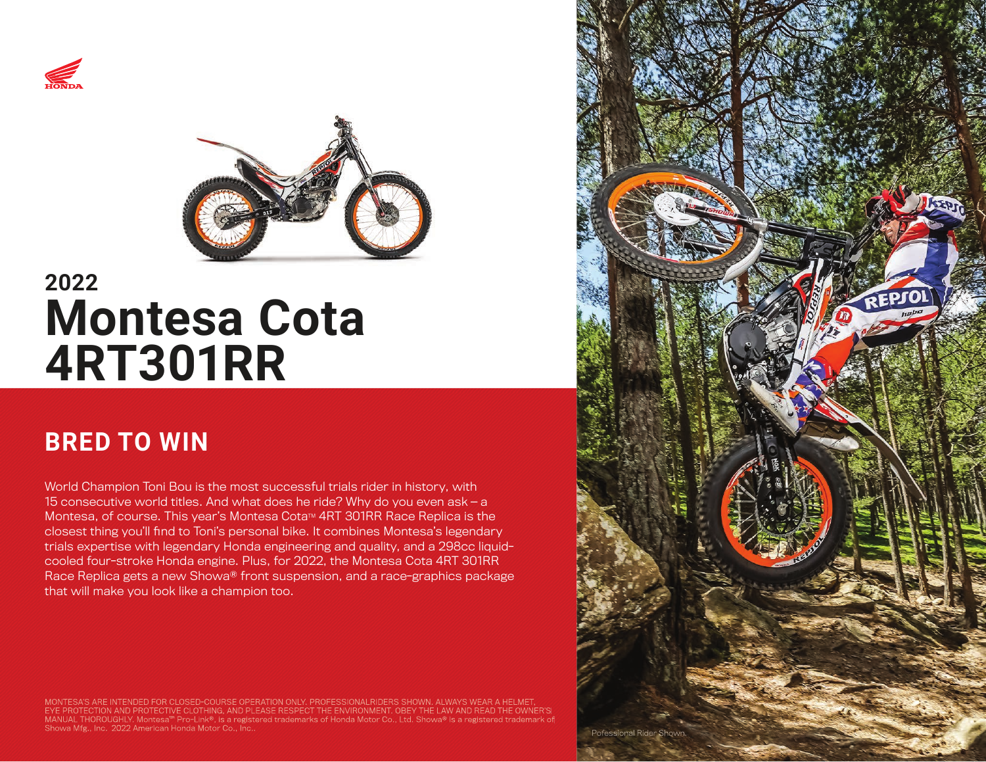



# **2022 Montesa Cota 4RT301RR**

## **BRED TO WIN**

World Champion Toni Bou is the most successful trials rider in history, with 15 consecutive world titles. And what does he ride? Why do you even ask — a Montesa, of course. This year's Montesa Cota™ 4RT 301RR Race Replica is the closest thing you'll find to Toni's personal bike. It combines Montesa's legendary trials expertise with legendary Honda engineering and quality, and a 298cc liquidcooled four-stroke Honda engine. Plus, for 2022, the Montesa Cota 4RT 301RR Race Replica gets a new Showa® front suspension, and a race-graphics package that will make you look like a champion too.

MONTESA'S ARE INTENDED FOR CLOSED-COURSE OPERATION ONLY. PROFESSIONALRIDERS SHOWN. ALWAYS WEAR A HELMET,<br>EYE PROTECTION AND PROTECTIVE CLOTHING, AND PLEASE RESPECT THE ENVIRONMENT. OBEY THE LAW AND READ THE OWNER'S MANUAL THOROUGHLY. Montesa™ Pro-Link®, is a registered trademarks of Honda Motor Co., Ltd. Showa® is a registered trademark of